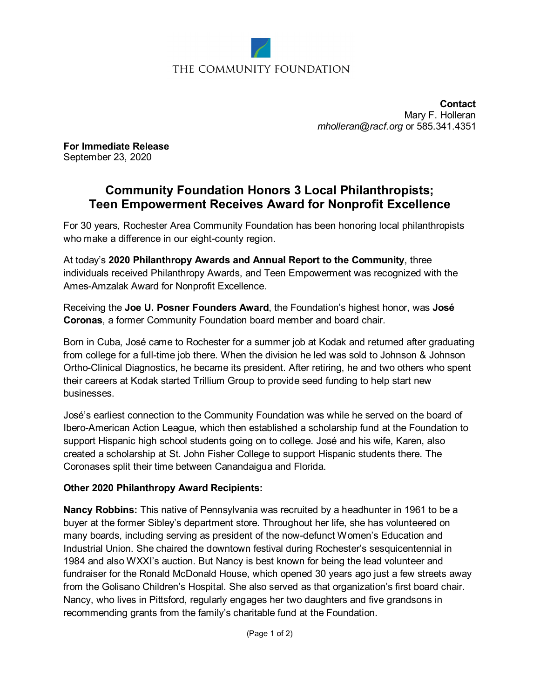

## THE COMMUNITY FOUNDATION

**Contact** Mary F. Holleran *[mholleran@racf.org](mailto:mholleran@racf.org)* or 585.341.4351

**For Immediate Release** September 23, 2020

# **Community Foundation Honors 3 Local Philanthropists; Teen Empowerment Receives Award for Nonprofit Excellence**

For 30 years, Rochester Area Community Foundation has been honoring local philanthropists who make a difference in our eight-county region.

At today's **2020 Philanthropy Awards and Annual Report to the Community**, three individuals received Philanthropy Awards, and Teen Empowerment was recognized with the Ames-Amzalak Award for Nonprofit Excellence.

Receiving the **Joe U. Posner Founders Award**, the Foundation's highest honor, was **José Coronas**, a former Community Foundation board member and board chair.

Born in Cuba, José came to Rochester for a summer job at Kodak and returned after graduating from college for a full-time job there. When the division he led was sold to Johnson & Johnson Ortho-Clinical Diagnostics, he became its president. After retiring, he and two others who spent their careers at Kodak started Trillium Group to provide seed funding to help start new businesses.

José's earliest connection to the Community Foundation was while he served on the board of Ibero-American Action League, which then established a scholarship fund at the Foundation to support Hispanic high school students going on to college. José and his wife, Karen, also created a scholarship at St. John Fisher College to support Hispanic students there. The Coronases split their time between Canandaigua and Florida.

## **Other 2020 Philanthropy Award Recipients:**

**Nancy Robbins:** This native of Pennsylvania was recruited by a headhunter in 1961 to be a buyer at the former Sibley's department store. Throughout her life, she has volunteered on many boards, including serving as president of the now-defunct Women's Education and Industrial Union. She chaired the downtown festival during Rochester's sesquicentennial in 1984 and also WXXI's auction. But Nancy is best known for being the lead volunteer and fundraiser for the Ronald McDonald House, which opened 30 years ago just a few streets away from the Golisano Children's Hospital. She also served as that organization's first board chair. Nancy, who lives in Pittsford, regularly engages her two daughters and five grandsons in recommending grants from the family's charitable fund at the Foundation.